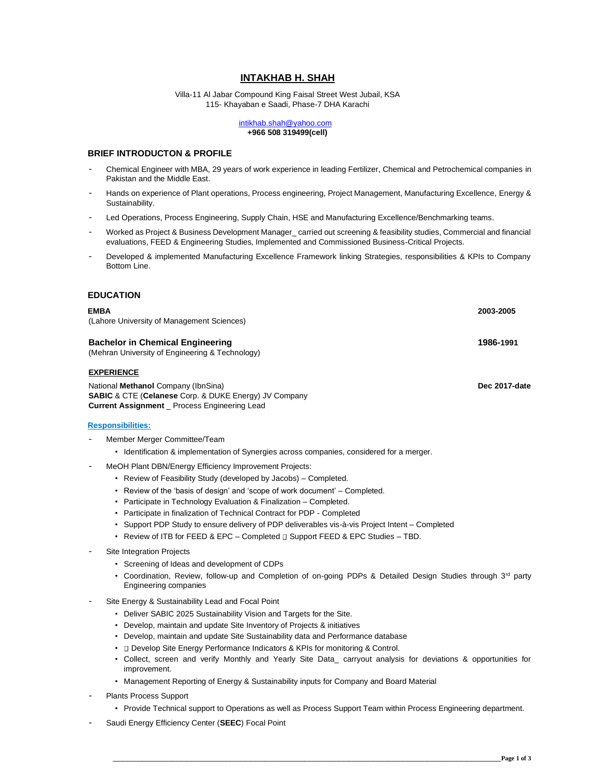# **INTAKHAB H. SHAH**

Villa-11 Al Jabar Compound King Faisal Street West Jubail, KSA 115- Khayaban e Saadi, Phase-7 DHA Karachi

#### intikhab.shah@yahoo.com **+966 508 319499(cell)**

## **BRIEF INTRODUCTON & PROFILE**

- Chemical Engineer with MBA, 29 years of work experience in leading Fertilizer, Chemical and Petrochemical companies in Pakistan and the Middle East.
- Hands on experience of Plant operations, Process engineering, Project Management, Manufacturing Excellence, Energy & Sustainability.
- Led Operations, Process Engineering, Supply Chain, HSE and Manufacturing Excellence/Benchmarking teams.
- Worked as Project & Business Development Manager\_ carried out screening & feasibility studies, Commercial and financial evaluations, FEED & Engineering Studies, Implemented and Commissioned Business-Critical Projects.
- Developed & implemented Manufacturing Excellence Framework linking Strategies, responsibilities & KPIs to Company Bottom Line.

## **EDUCATION**

# **EMBA 2003-2005** (Lahore University of Management Sciences) **Bachelor in Chemical Engineering 1986-1991** (Mehran University of Engineering & Technology) **EXPERIENCE** National **Methanol** Company (IbnSina) **Dec 2017-date SABIC** & CTE (**Celanese** Corp. & DUKE Energy) JV Company **Current Assignment** \_ Process Engineering Lead **Responsibilities:** Member Merger Committee/Team • Identification & implementation of Synergies across companies, considered for a merger. MeOH Plant DBN/Energy Efficiency Improvement Projects: • Review of Feasibility Study (developed by Jacobs) – Completed. • Review of the 'basis of design' and 'scope of work document' – Completed. • Participate in Technology Evaluation & Finalization – Completed.

- Participate in finalization of Technical Contract for PDP Completed
- Support PDP Study to ensure delivery of PDP deliverables vis-à-vis Project Intent Completed
- Review of ITB for FEED & EPC Completed D Support FEED & EPC Studies TBD.
- Site Integration Projects
	- Screening of Ideas and development of CDPs
	- Coordination, Review, follow-up and Completion of on-going PDPs & Detailed Design Studies through 3<sup>rd</sup> party Engineering companies
- Site Energy & Sustainability Lead and Focal Point
	- Deliver SABIC 2025 Sustainability Vision and Targets for the Site.
	- Develop, maintain and update Site Inventory of Projects & initiatives
	- Develop, maintain and update Site Sustainability data and Performance database
	- **D** Develop Site Energy Performance Indicators & KPIs for monitoring & Control.
	- Collect, screen and verify Monthly and Yearly Site Data\_ carryout analysis for deviations & opportunities for improvement.
	- Management Reporting of Energy & Sustainability inputs for Company and Board Material
- Plants Process Support
	- Provide Technical support to Operations as well as Process Support Team within Process Engineering department.
- Saudi Energy Efficiency Center (**SEEC**) Focal Point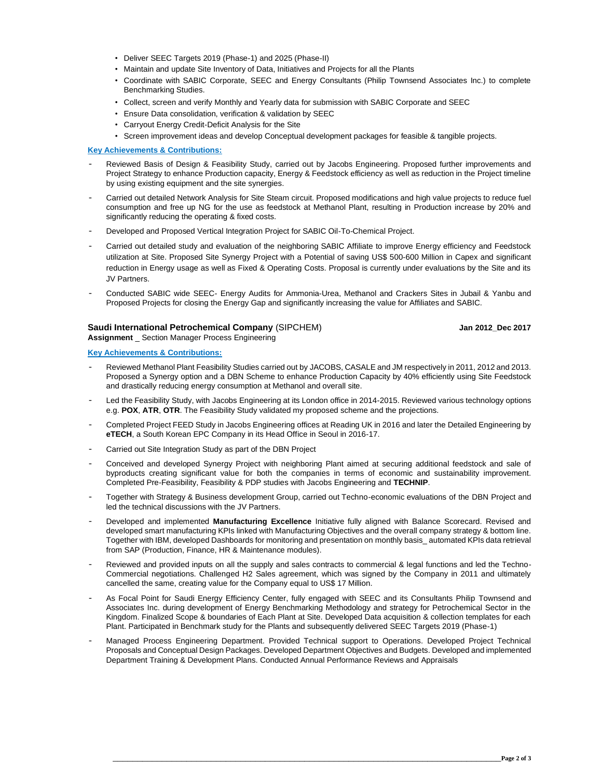- Deliver SEEC Targets 2019 (Phase-1) and 2025 (Phase-II)
- Maintain and update Site Inventory of Data, Initiatives and Projects for all the Plants
- Coordinate with SABIC Corporate, SEEC and Energy Consultants (Philip Townsend Associates Inc.) to complete Benchmarking Studies.
- Collect, screen and verify Monthly and Yearly data for submission with SABIC Corporate and SEEC
- Ensure Data consolidation, verification & validation by SEEC
- Carryout Energy Credit-Deficit Analysis for the Site
- Screen improvement ideas and develop Conceptual development packages for feasible & tangible projects.

## **Key Achievements & Contributions:**

- Reviewed Basis of Design & Feasibility Study, carried out by Jacobs Engineering. Proposed further improvements and Project Strategy to enhance Production capacity, Energy & Feedstock efficiency as well as reduction in the Project timeline by using existing equipment and the site synergies.
- Carried out detailed Network Analysis for Site Steam circuit. Proposed modifications and high value projects to reduce fuel consumption and free up NG for the use as feedstock at Methanol Plant, resulting in Production increase by 20% and significantly reducing the operating & fixed costs.
- Developed and Proposed Vertical Integration Project for SABIC Oil-To-Chemical Project.
- Carried out detailed study and evaluation of the neighboring SABIC Affiliate to improve Energy efficiency and Feedstock utilization at Site. Proposed Site Synergy Project with a Potential of saving US\$ 500-600 Million in Capex and significant reduction in Energy usage as well as Fixed & Operating Costs. Proposal is currently under evaluations by the Site and its JV Partners.
- Conducted SABIC wide SEEC- Energy Audits for Ammonia-Urea, Methanol and Crackers Sites in Jubail & Yanbu and Proposed Projects for closing the Energy Gap and significantly increasing the value for Affiliates and SABIC.

## **Saudi International Petrochemical Company** (SIPCHEM) **Jan 2012\_Dec 2017 Assignment** \_ Section Manager Process Engineering

## **Key Achievements & Contributions:**

- Reviewed Methanol Plant Feasibility Studies carried out by JACOBS, CASALE and JM respectively in 2011, 2012 and 2013. Proposed a Synergy option and a DBN Scheme to enhance Production Capacity by 40% efficiently using Site Feedstock and drastically reducing energy consumption at Methanol and overall site.
- Led the Feasibility Study, with Jacobs Engineering at its London office in 2014-2015. Reviewed various technology options e.g. **POX**, **ATR**, **OTR**. The Feasibility Study validated my proposed scheme and the projections.
- Completed Project FEED Study in Jacobs Engineering offices at Reading UK in 2016 and later the Detailed Engineering by **eTECH**, a South Korean EPC Company in its Head Office in Seoul in 2016-17.
- Carried out Site Integration Study as part of the DBN Project
- Conceived and developed Synergy Project with neighboring Plant aimed at securing additional feedstock and sale of byproducts creating significant value for both the companies in terms of economic and sustainability improvement. Completed Pre-Feasibility, Feasibility & PDP studies with Jacobs Engineering and **TECHNIP**.
- Together with Strategy & Business development Group, carried out Techno-economic evaluations of the DBN Project and led the technical discussions with the JV Partners.
- Developed and implemented **Manufacturing Excellence** Initiative fully aligned with Balance Scorecard. Revised and developed smart manufacturing KPIs linked with Manufacturing Objectives and the overall company strategy & bottom line. Together with IBM, developed Dashboards for monitoring and presentation on monthly basis\_ automated KPIs data retrieval from SAP (Production, Finance, HR & Maintenance modules).
- Reviewed and provided inputs on all the supply and sales contracts to commercial & legal functions and led the Techno-Commercial negotiations. Challenged H2 Sales agreement, which was signed by the Company in 2011 and ultimately cancelled the same, creating value for the Company equal to US\$ 17 Million.
- As Focal Point for Saudi Energy Efficiency Center, fully engaged with SEEC and its Consultants Philip Townsend and Associates Inc. during development of Energy Benchmarking Methodology and strategy for Petrochemical Sector in the Kingdom. Finalized Scope & boundaries of Each Plant at Site. Developed Data acquisition & collection templates for each Plant. Participated in Benchmark study for the Plants and subsequently delivered SEEC Targets 2019 (Phase-1)
- Managed Process Engineering Department. Provided Technical support to Operations. Developed Project Technical Proposals and Conceptual Design Packages. Developed Department Objectives and Budgets. Developed and implemented Department Training & Development Plans. Conducted Annual Performance Reviews and Appraisals